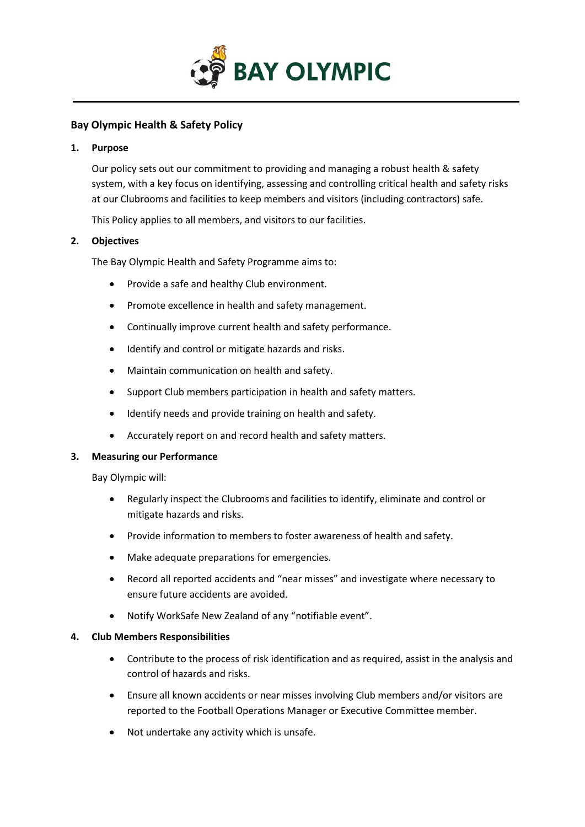

# **Bay Olympic Health & Safety Policy**

#### **1. Purpose**

Our policy sets out our commitment to providing and managing a robust health & safety system, with a key focus on identifying, assessing and controlling critical health and safety risks at our Clubrooms and facilities to keep members and visitors (including contractors) safe.

This Policy applies to all members, and visitors to our facilities.

### **2. Objectives**

The Bay Olympic Health and Safety Programme aims to:

- Provide a safe and healthy Club environment.
- Promote excellence in health and safety management.
- Continually improve current health and safety performance.
- Identify and control or mitigate hazards and risks.
- Maintain communication on health and safety.
- Support Club members participation in health and safety matters.
- Identify needs and provide training on health and safety.
- Accurately report on and record health and safety matters.

#### **3. Measuring our Performance**

Bay Olympic will:

- Regularly inspect the Clubrooms and facilities to identify, eliminate and control or mitigate hazards and risks.
- Provide information to members to foster awareness of health and safety.
- Make adequate preparations for emergencies.
- Record all reported accidents and "near misses" and investigate where necessary to ensure future accidents are avoided.
- Notify WorkSafe New Zealand of any "notifiable event".

#### **4. Club Members Responsibilities**

- Contribute to the process of risk identification and as required, assist in the analysis and control of hazards and risks.
- Ensure all known accidents or near misses involving Club members and/or visitors are reported to the Football Operations Manager or Executive Committee member.
- Not undertake any activity which is unsafe.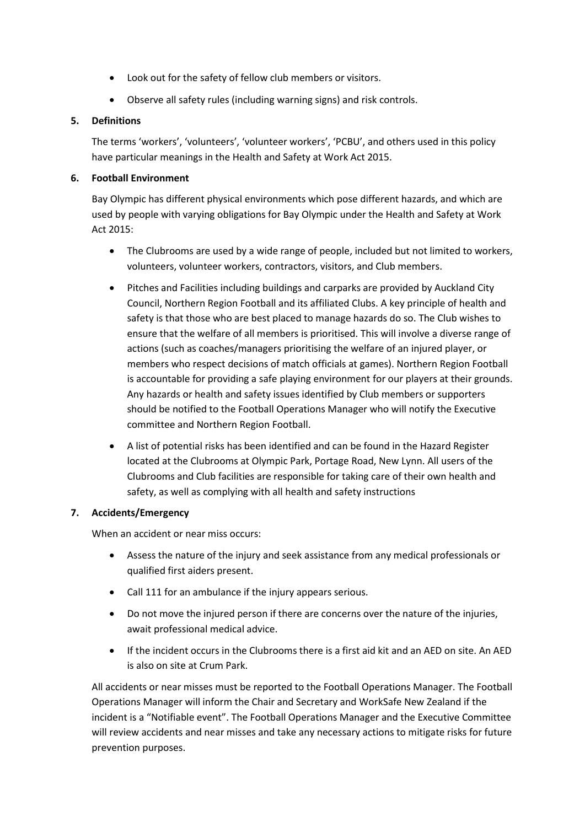- Look out for the safety of fellow club members or visitors.
- Observe all safety rules (including warning signs) and risk controls.

### **5. Definitions**

The terms 'workers', 'volunteers', 'volunteer workers', 'PCBU', and others used in this policy have particular meanings in the Health and Safety at Work Act 2015.

### **6. Football Environment**

Bay Olympic has different physical environments which pose different hazards, and which are used by people with varying obligations for Bay Olympic under the Health and Safety at Work Act 2015:

- The Clubrooms are used by a wide range of people, included but not limited to workers, volunteers, volunteer workers, contractors, visitors, and Club members.
- Pitches and Facilities including buildings and carparks are provided by Auckland City Council, Northern Region Football and its affiliated Clubs. A key principle of health and safety is that those who are best placed to manage hazards do so. The Club wishes to ensure that the welfare of all members is prioritised. This will involve a diverse range of actions (such as coaches/managers prioritising the welfare of an injured player, or members who respect decisions of match officials at games). Northern Region Football is accountable for providing a safe playing environment for our players at their grounds. Any hazards or health and safety issues identified by Club members or supporters should be notified to the Football Operations Manager who will notify the Executive committee and Northern Region Football.
- A list of potential risks has been identified and can be found in the Hazard Register located at the Clubrooms at Olympic Park, Portage Road, New Lynn. All users of the Clubrooms and Club facilities are responsible for taking care of their own health and safety, as well as complying with all health and safety instructions

# **7. Accidents/Emergency**

When an accident or near miss occurs:

- Assess the nature of the injury and seek assistance from any medical professionals or qualified first aiders present.
- Call 111 for an ambulance if the injury appears serious.
- Do not move the injured person if there are concerns over the nature of the injuries, await professional medical advice.
- If the incident occurs in the Clubrooms there is a first aid kit and an AED on site. An AED is also on site at Crum Park.

All accidents or near misses must be reported to the Football Operations Manager. The Football Operations Manager will inform the Chair and Secretary and WorkSafe New Zealand if the incident is a "Notifiable event". The Football Operations Manager and the Executive Committee will review accidents and near misses and take any necessary actions to mitigate risks for future prevention purposes.